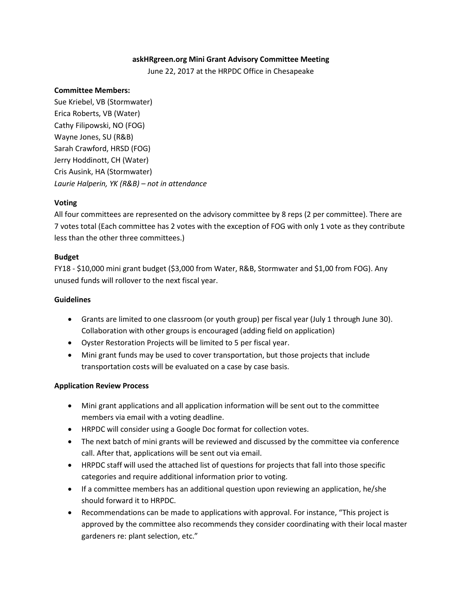### **askHRgreen.org Mini Grant Advisory Committee Meeting**

June 22, 2017 at the HRPDC Office in Chesapeake

### **Committee Members:**

Sue Kriebel, VB (Stormwater) Erica Roberts, VB (Water) Cathy Filipowski, NO (FOG) Wayne Jones, SU (R&B) Sarah Crawford, HRSD (FOG) Jerry Hoddinott, CH (Water) Cris Ausink, HA (Stormwater) *Laurie Halperin, YK (R&B) – not in attendance*

### **Voting**

All four committees are represented on the advisory committee by 8 reps (2 per committee). There are 7 votes total (Each committee has 2 votes with the exception of FOG with only 1 vote as they contribute less than the other three committees.)

### **Budget**

FY18 - \$10,000 mini grant budget (\$3,000 from Water, R&B, Stormwater and \$1,00 from FOG). Any unused funds will rollover to the next fiscal year.

## **Guidelines**

- Grants are limited to one classroom (or youth group) per fiscal year (July 1 through June 30). Collaboration with other groups is encouraged (adding field on application)
- Oyster Restoration Projects will be limited to 5 per fiscal year.
- Mini grant funds may be used to cover transportation, but those projects that include transportation costs will be evaluated on a case by case basis.

### **Application Review Process**

- Mini grant applications and all application information will be sent out to the committee members via email with a voting deadline.
- HRPDC will consider using a Google Doc format for collection votes.
- The next batch of mini grants will be reviewed and discussed by the committee via conference call. After that, applications will be sent out via email.
- HRPDC staff will used the attached list of questions for projects that fall into those specific categories and require additional information prior to voting.
- If a committee members has an additional question upon reviewing an application, he/she should forward it to HRPDC.
- Recommendations can be made to applications with approval. For instance, "This project is approved by the committee also recommends they consider coordinating with their local master gardeners re: plant selection, etc."